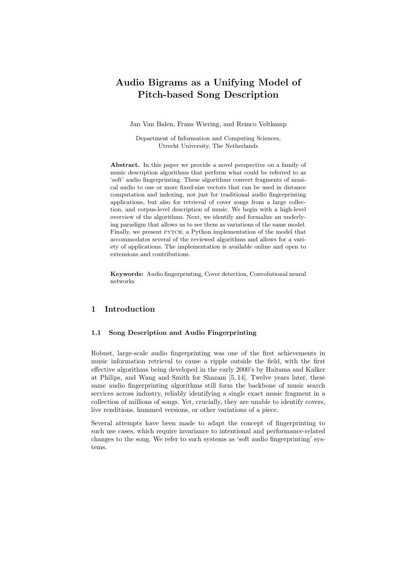# Audio Bigrams as a Unifying Model of Pitch-based Song Description

Jan Van Balen, Frans Wiering, and Remco Veltkamp

Department of Information and Computing Sciences, Utrecht University, The Netherlands

Abstract. In this paper we provide a novel perspective on a family of music description algorithms that perform what could be referred to as 'soft' audio fingerprinting. These algorithms convert fragments of musical audio to one or more fixed-size vectors that can be used in distance computation and indexing, not just for traditional audio fingerprinting applications, but also for retrieval of cover songs from a large collection, and corpus-level description of music. We begin with a high-level overview of the algorithms. Next, we identify and formalize an underlying paradigm that allows us to see them as variations of the same model. Finally, we present PYTCH, a Python implementation of the model that accommodates several of the reviewed algorithms and allows for a variety of applications. The implementation is available online and open to extensions and contributions.

Keywords: Audio fingerprinting, Cover detection, Convolutional neural networks

## 1 Introduction

#### 1.1 Song Description and Audio Fingerprinting

Robust, large-scale audio fingerprinting was one of the first achievements in music information retrieval to cause a ripple outside the field, with the first effective algorithms being developed in the early 2000's by Haitsma and Kalker at Philips, and Wang and Smith for Shazam [5, 14]. Twelve years later, these same audio fingerprinting algorithms still form the backbone of music search services across industry, reliably identifying a single exact music fragment in a collection of millions of songs. Yet, crucially, they are unable to identify covers, live renditions, hummed versions, or other variations of a piece.

Several attempts have been made to adapt the concept of fingerprinting to such use cases, which require invariance to intentional and performance-related changes to the song. We refer to such systems as 'soft audio fingerprinting' systems.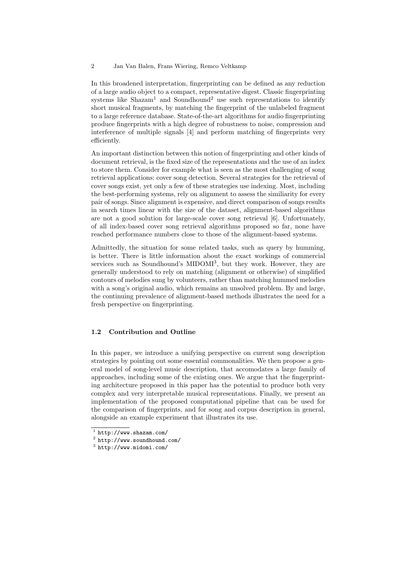In this broadened interpretation, fingerprinting can be defined as any reduction of a large audio object to a compact, representative digest. Classic fingerprinting systems like  $Shazam<sup>1</sup>$  and  $Sound<sup>2</sup>$  use such representations to identify short musical fragments, by matching the fingerprint of the unlabeled fragment to a large reference database. State-of-the-art algorithms for audio fingerprinting produce fingerprints with a high degree of robustness to noise, compression and interference of multiple signals [4] and perform matching of fingerprints very efficiently.

An important distinction between this notion of fingerprinting and other kinds of document retrieval, is the fixed size of the representations and the use of an index to store them. Consider for example what is seen as the most challenging of song retrieval applications: cover song detection. Several strategies for the retrieval of cover songs exist, yet only a few of these strategies use indexing. Most, including the best-performing systems, rely on alignment to assess the similiarity for every pair of songs. Since alignment is expensive, and direct comparison of songs results in search times linear with the size of the dataset, alignment-based algorithms are not a good solution for large-scale cover song retrieval [6]. Unfortunately, of all index-based cover song retrieval algorithms proposed so far, none have reached performance numbers close to those of the alignment-based systems.

Admittedly, the situation for some related tasks, such as query by humming, is better. There is little information about the exact workings of commercial services such as Soundhound's MIDOMI<sup>3</sup>, but they work. However, they are generally understood to rely on matching (alignment or otherwise) of simplified contours of melodies sung by volunteers, rather than matching hummed melodies with a song's original audio, which remains an unsolved problem. By and large, the continuing prevalence of alignment-based methods illustrates the need for a fresh perspective on fingerprinting.

### 1.2 Contribution and Outline

In this paper, we introduce a unifying perspective on current song description strategies by pointing out some essential commonalities. We then propose a general model of song-level music description, that accomodates a large family of approaches, including some of the existing ones. We argue that the fingerprinting architecture proposed in this paper has the potential to produce both very complex and very interpretable musical representations. Finally, we present an implementation of the proposed computational pipeline that can be used for the comparison of fingerprints, and for song and corpus description in general, alongside an example experiment that illustrates its use.

 $<sup>1</sup>$  http://www.shazam.com/</sup>

 $^2$  http://www.soundhound.com/

<sup>3</sup> http://www.midomi.com/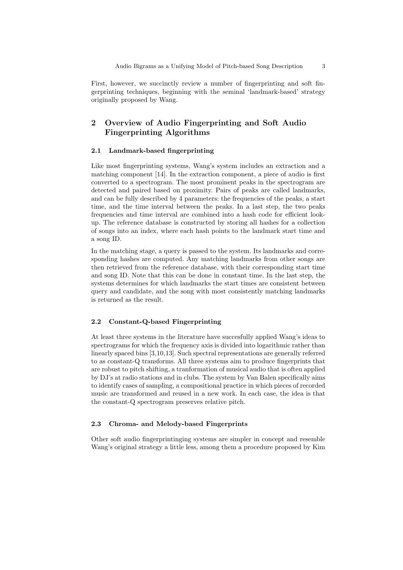First, however, we succinctly review a number of fingerprinting and soft fingerprinting techniques, beginning with the seminal 'landmark-based' strategy originally proposed by Wang.

## 2 Overview of Audio Fingerprinting and Soft Audio Fingerprinting Algorithms

#### 2.1 Landmark-based fingerprinting

Like most fingerprinting systems, Wang's system includes an extraction and a matching component [14]. In the extraction component, a piece of audio is first converted to a spectrogram. The most prominent peaks in the spectrogram are detected and paired based on proximity. Pairs of peaks are called landmarks, and can be fully described by 4 parameters: the frequencies of the peaks, a start time, and the time interval between the peaks. In a last step, the two peaks frequencies and time interval are combined into a hash code for efficient lookup. The reference database is constructed by storing all hashes for a collection of songs into an index, where each hash points to the landmark start time and a song ID.

In the matching stage, a query is passed to the system. Its landmarks and corresponding hashes are computed. Any matching landmarks from other songs are then retrieved from the reference database, with their corresponding start time and song ID. Note that this can be done in constant time. In the last step, the systems determines for which landmarks the start times are consistent between query and candidate, and the song with most consistently matching landmarks is returned as the result.

## 2.2 Constant-Q-based Fingerprinting

At least three systems in the literature have succesfully applied Wang's ideas to spectrograms for which the frequency axis is divided into logarithmic rather than linearly spaced bins [3,10,13]. Such spectral representations are generally referred to as constant-Q transforms. All three systems aim to produce fingerprints that are robust to pitch shifting, a tranformation of musical audio that is often applied by DJ's at radio stations and in clubs. The system by Van Balen specifically aims to identify cases of sampling, a compositional practice in which pieces of recorded music are transformed and reused in a new work. In each case, the idea is that the constant-Q spectrogram preserves relative pitch.

#### 2.3 Chroma- and Melody-based Fingerprints

Other soft audio fingerprintinging systems are simpler in concept and resemble Wang's original strategy a little less, among them a procedure proposed by Kim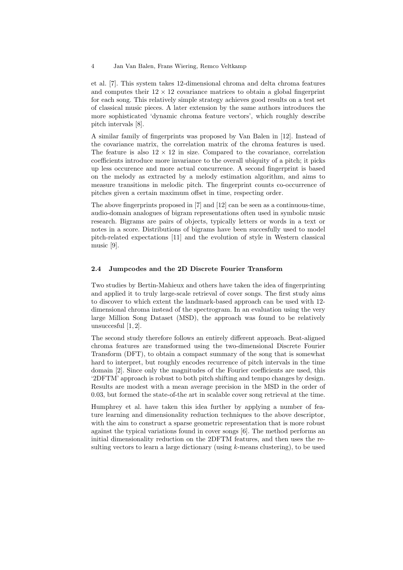et al. [7]. This system takes 12-dimensional chroma and delta chroma features and computes their  $12 \times 12$  covariance matrices to obtain a global fingerprint for each song. This relatively simple strategy achieves good results on a test set of classical music pieces. A later extension by the same authors introduces the more sophisticated 'dynamic chroma feature vectors', which roughly describe pitch intervals [8].

A similar family of fingerprints was proposed by Van Balen in [12]. Instead of the covariance matrix, the correlation matrix of the chroma features is used. The feature is also  $12 \times 12$  in size. Compared to the covariance, correlation coefficients introduce more invariance to the overall ubiquity of a pitch; it picks up less occurence and more actual concurrence. A second fingerprint is based on the melody as extracted by a melody estimation algorithm, and aims to measure transitions in melodic pitch. The fingerprint counts co-occurrence of pitches given a certain maximum offset in time, respecting order.

The above fingerprints proposed in [7] and [12] can be seen as a continuous-time, audio-domain analogues of bigram representations often used in symbolic music research. Bigrams are pairs of objects, typically letters or words in a text or notes in a score. Distributions of bigrams have been succesfully used to model pitch-related expectations [11] and the evolution of style in Western classical music [9].

#### 2.4 Jumpcodes and the 2D Discrete Fourier Transform

Two studies by Bertin-Mahieux and others have taken the idea of fingerprinting and applied it to truly large-scale retrieval of cover songs. The first study aims to discover to which extent the landmark-based approach can be used with 12 dimensional chroma instead of the spectrogram. In an evaluation using the very large Million Song Dataset (MSD), the approach was found to be relatively unsuccesful [1, 2].

The second study therefore follows an entirely different approach. Beat-aligned chroma features are transformed using the two-dimensional Discrete Fourier Transform (DFT), to obtain a compact summary of the song that is somewhat hard to interpret, but roughly encodes recurrence of pitch intervals in the time domain [2]. Since only the magnitudes of the Fourier coefficients are used, this '2DFTM' approach is robust to both pitch shifting and tempo changes by design. Results are modest with a mean average precision in the MSD in the order of 0.03, but formed the state-of-the art in scalable cover song retrieval at the time.

Humphrey et al. have taken this idea further by applying a number of feature learning and dimensionality reduction techniques to the above descriptor, with the aim to construct a sparse geometric representation that is more robust against the typical variations found in cover songs [6]. The method performs an initial dimensionality reduction on the 2DFTM features, and then uses the resulting vectors to learn a large dictionary (using  $k$ -means clustering), to be used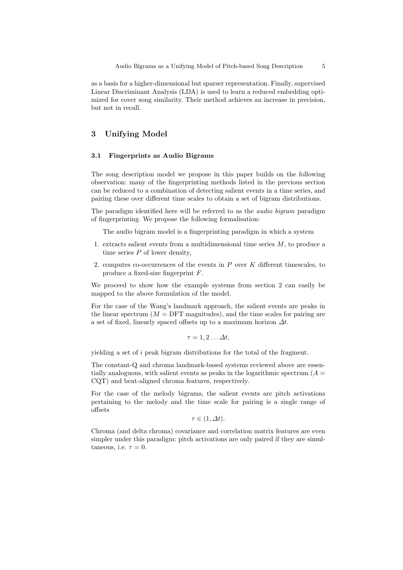as a basis for a higher-dimensional but sparser representation. Finally, supervised Linear Discriminant Analysis (LDA) is used to learn a reduced embedding optimized for cover song similarity. Their method achieves an increase in precision, but not in recall.

## 3 Unifying Model

#### 3.1 Fingerprints as Audio Bigrams

The song description model we propose in this paper builds on the following observation: many of the fingerprinting methods listed in the previous section can be reduced to a combination of detecting salient events in a time series, and pairing these over different time scales to obtain a set of bigram distributions.

The paradigm identified here will be referred to as the audio bigram paradigm of fingerprinting. We propose the following formalisation:

The audio bigram model is a fingerprinting paradigm in which a system

- 1. extracts salient events from a multidimensional time series  $M$ , to produce a time series  $P$  of lower density,
- 2. computes co-occurrences of the events in  $P$  over  $K$  different timescales, to produce a fixed-size fingerprint F.

We proceed to show how the example systems from section 2 can easily be mapped to the above formulation of the model.

For the case of the Wang's landmark approach, the salient events are peaks in the linear spectrum  $(M = DFT$  magnitudes), and the time scales for pairing are a set of fixed, linearly spaced offsets up to a maximum horizon  $\Delta t$ .

$$
\tau = 1, 2 \dots \Delta t,
$$

yielding a set of i peak bigram distributions for the total of the fragment.

The constant-Q and chroma landmark-based systems reviewed above are essentially analoguous, with salient events as peaks in the logarithmic spectrum  $(A =$ CQT) and beat-aligned chroma features, respectively.

For the case of the melody bigrams, the salient events are pitch activations pertaining to the melody and the time scale for pairing is a single range of offsets

$$
\tau \in (1, \Delta t).
$$

Chroma (and delta chroma) covariance and correlation matrix features are even simpler under this paradigm: pitch activations are only paired if they are simultaneous, i.e.  $\tau = 0$ .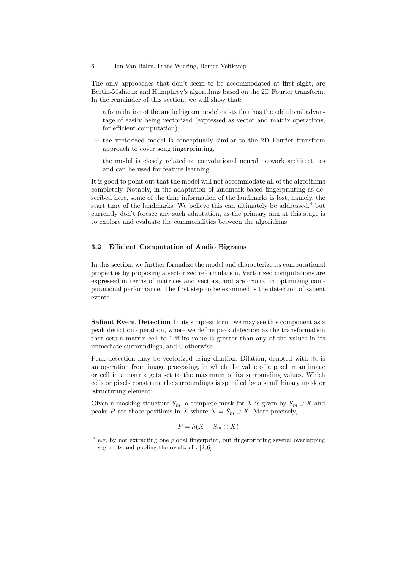The only approaches that don't seem to be accommodated at first sight, are Bertin-Mahieux and Humphrey's algorithms based on the 2D Fourier transform. In the remainder of this section, we will show that:

- a formulation of the audio bigram model exists that has the additional advantage of easily being vectorized (expressed as vector and matrix operations, for efficient computation),
- the vectorized model is conceptually similar to the 2D Fourier transform approach to cover song fingerprinting,
- the model is closely related to convolutional neural network architectures and can be used for feature learning.

It is good to point out that the model will not accommodate all of the algorithms completely. Notably, in the adaptation of landmark-based fingerprinting as described here, some of the time information of the landmarks is lost, namely, the start time of the landmarks. We believe this can ultimately be addressed, $4$  but currently don't foresee any such adaptation, as the primary aim at this stage is to explore and evaluate the commonalities between the algorithms.

#### 3.2 Efficient Computation of Audio Bigrams

In this section, we further formalize the model and characterize its computational properties by proposing a vectorized reformulation. Vectorized computations are expressed in terms of matrices and vectors, and are crucial in optimizing computational performance. The first step to be examined is the detection of salient events.

Salient Event Detection In its simplest form, we may see this component as a peak detection operation, where we define peak detection as the transformation that sets a matrix cell to 1 if its value is greater than any of the values in its immediate surroundings, and 0 otherwise.

Peak detection may be vectorized using dilation. Dilation, denoted with ⊕, is an operation from image processing, in which the value of a pixel in an image or cell in a matrix gets set to the maximum of its surrounding values. Which cells or pixels constitute the surroundings is specified by a small binary mask or 'structuring element'.

Given a masking structure  $S_m$ , a complete mask for X is given by  $S_m \oplus X$  and peaks P are those positions in X where  $X = S_m \oplus X$ . More precisely,

$$
P = h(X - S_m \oplus X)
$$

<sup>&</sup>lt;sup>4</sup> e.g. by not extracting one global fingerprint, but fingerprinting several overlapping segments and pooling the result, cfr. [2, 6]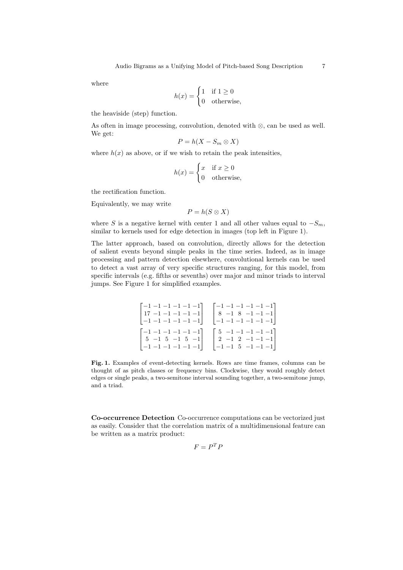where

$$
h(x) = \begin{cases} 1 & \text{if } 1 \ge 0 \\ 0 & \text{otherwise,} \end{cases}
$$

the heaviside (step) function.

As often in image processing, convolution, denoted with ⊗, can be used as well. We get:

$$
P = h(X - S_m \otimes X)
$$

where  $h(x)$  as above, or if we wish to retain the peak intensities,

$$
h(x) = \begin{cases} x & \text{if } x \ge 0 \\ 0 & \text{otherwise,} \end{cases}
$$

the rectification function.

Equivalently, we may write

 $P = h(S \otimes X)$ 

where S is a negative kernel with center 1 and all other values equal to  $-S_m$ , similar to kernels used for edge detection in images (top left in Figure 1).

The latter approach, based on convolution, directly allows for the detection of salient events beyond simple peaks in the time series. Indeed, as in image processing and pattern detection elsewhere, convolutional kernels can be used to detect a vast array of very specific structures ranging, for this model, from specific intervals (e.g. fifths or sevenths) over major and minor triads to interval jumps. See Figure 1 for simplified examples.

$$
\begin{bmatrix} -1 & -1 & -1 & -1 & -1 & -1 \\ 17 & -1 & -1 & -1 & -1 & -1 \\ -1 & -1 & -1 & -1 & -1 & -1 \end{bmatrix} \quad \begin{bmatrix} -1 & -1 & -1 & -1 & -1 & -1 \\ 8 & -1 & 8 & -1 & -1 & -1 \\ -1 & -1 & -1 & -1 & -1 & -1 \end{bmatrix}
$$

$$
\begin{bmatrix} -1 & -1 & -1 & -1 & -1 & -1 \\ 5 & -1 & 5 & -1 & 5 & -1 \\ -1 & -1 & -1 & -1 & -1 & -1 \end{bmatrix} \quad \begin{bmatrix} 5 & -1 & -1 & -1 & -1 & -1 \\ 2 & -1 & 2 & -1 & -1 & -1 \\ -1 & -1 & 5 & -1 & -1 & -1 \end{bmatrix}
$$

Fig. 1. Examples of event-detecting kernels. Rows are time frames, columns can be thought of as pitch classes or frequency bins. Clockwise, they would roughly detect edges or single peaks, a two-semitone interval sounding together, a two-semitone jump, and a triad.

Co-occurrence Detection Co-occurrence computations can be vectorized just as easily. Consider that the correlation matrix of a multidimensional feature can be written as a matrix product:

$$
F = P^T P
$$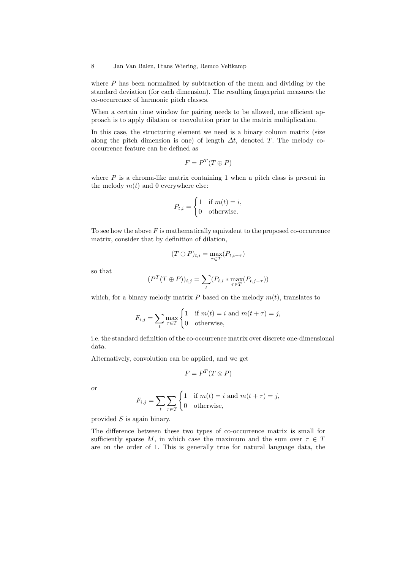where  $P$  has been normalized by subtraction of the mean and dividing by the standard deviation (for each dimension). The resulting fingerprint measures the co-occurrence of harmonic pitch classes.

When a certain time window for pairing needs to be allowed, one efficient approach is to apply dilation or convolution prior to the matrix multiplication.

In this case, the structuring element we need is a binary column matrix (size along the pitch dimension is one) of length  $\Delta t$ , denoted T. The melody cooccurrence feature can be defined as

$$
F = P^T(T \oplus P)
$$

where  $P$  is a chroma-like matrix containing 1 when a pitch class is present in the melody  $m(t)$  and 0 everywhere else:

$$
P_{t,i} = \begin{cases} 1 & \text{if } m(t) = i, \\ 0 & \text{otherwise.} \end{cases}
$$

To see how the above  $F$  is mathematically equivalent to the proposed co-occurrence matrix, consider that by definition of dilation,

$$
(T \oplus P)_{t,i} = \max_{\tau \in T} (P_{t,i-\tau})
$$

so that

$$
(PT(T \oplus P))_{i,j} = \sum_{t} (P_{t,i} * \max_{\tau \in T} (P_{t,j-\tau}))
$$

which, for a binary melody matrix  $P$  based on the melody  $m(t)$ , translates to

$$
F_{i,j} = \sum_{t} \max_{\tau \in T} \begin{cases} 1 & \text{if } m(t) = i \text{ and } m(t + \tau) = j, \\ 0 & \text{otherwise,} \end{cases}
$$

i.e. the standard definition of the co-occurrence matrix over discrete one-dimensional data.

Alternatively, convolution can be applied, and we get

$$
F = P^T(T \otimes P)
$$

or

$$
F_{i,j} = \sum_{t} \sum_{\tau \in T} \begin{cases} 1 & \text{if } m(t) = i \text{ and } m(t + \tau) = j, \\ 0 & \text{otherwise,} \end{cases}
$$

provided S is again binary.

The difference between these two types of co-occurrence matrix is small for sufficiently sparse M, in which case the maximum and the sum over  $\tau \in T$ are on the order of 1. This is generally true for natural language data, the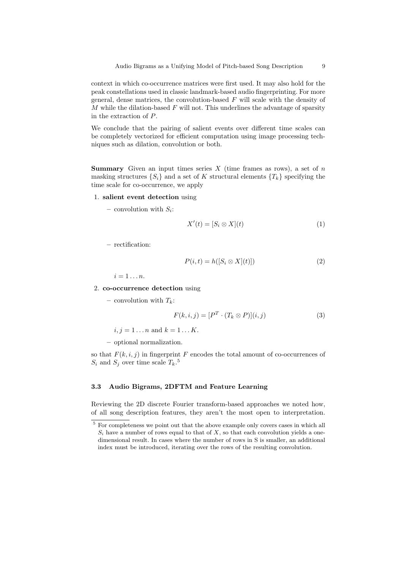context in which co-occurrence matrices were first used. It may also hold for the peak constellations used in classic landmark-based audio fingerprinting. For more general, dense matrices, the convolution-based  $F$  will scale with the density of M while the dilation-based  $F$  will not. This underlines the advantage of sparsity in the extraction of P.

We conclude that the pairing of salient events over different time scales can be completely vectorized for efficient computation using image processing techniques such as dilation, convolution or both.

**Summary** Given an input times series X (time frames as rows), a set of n masking structures  $\{S_i\}$  and a set of K structural elements  $\{T_k\}$  specifying the time scale for co-occurrence, we apply

#### 1. salient event detection using

 $-$  convolution with  $S_i$ :

$$
X'(t) = [S_i \otimes X](t) \tag{1}
$$

– rectification:

$$
P(i,t) = h([S_i \otimes X](t)])
$$
\n(2)

 $i=1 \ldots n$ .

2. co-occurrence detection using

– convolution with  $T_k$ :

$$
F(k,i,j) = [PT \cdot (T_k \otimes P)](i,j)
$$
 (3)

 $i, j = 1...n$  and  $k = 1...K$ .

– optional normalization.

so that  $F(k, i, j)$  in fingerprint F encodes the total amount of co-occurrences of  $S_i$  and  $S_j$  over time scale  $T_k$ .<sup>5</sup>

#### 3.3 Audio Bigrams, 2DFTM and Feature Learning

Reviewing the 2D discrete Fourier transform-based approaches we noted how, of all song description features, they aren't the most open to interpretation.

 $^5$  For completeness we point out that the above example only covers cases in which all  $S_i$  have a number of rows equal to that of  $X$ , so that each convolution yields a onedimensional result. In cases where the number of rows in S is smaller, an additional index must be introduced, iterating over the rows of the resulting convolution.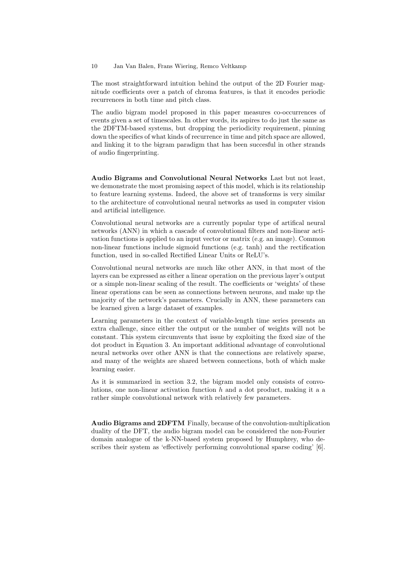The most straightforward intuition behind the output of the 2D Fourier magnitude coefficients over a patch of chroma features, is that it encodes periodic recurrences in both time and pitch class.

The audio bigram model proposed in this paper measures co-occurrences of events given a set of timescales. In other words, its aspires to do just the same as the 2DFTM-based systems, but dropping the periodicity requirement, pinning down the specifics of what kinds of recurrence in time and pitch space are allowed, and linking it to the bigram paradigm that has been succesful in other strands of audio fingerprinting.

Audio Bigrams and Convolutional Neural Networks Last but not least, we demonstrate the most promising aspect of this model, which is its relationship to feature learning systems. Indeed, the above set of transforms is very similar to the architecture of convolutional neural networks as used in computer vision and artificial intelligence.

Convolutional neural networks are a currently popular type of artifical neural networks (ANN) in which a cascade of convolutional filters and non-linear activation functions is applied to an input vector or matrix (e.g. an image). Common non-linear functions include sigmoid functions (e.g. tanh) and the rectification function, used in so-called Rectified Linear Units or ReLU's.

Convolutional neural networks are much like other ANN, in that most of the layers can be expressed as either a linear operation on the previous layer's output or a simple non-linear scaling of the result. The coefficients or 'weights' of these linear operations can be seen as connections between neurons, and make up the majority of the network's parameters. Crucially in ANN, these parameters can be learned given a large dataset of examples.

Learning parameters in the context of variable-length time series presents an extra challenge, since either the output or the number of weights will not be constant. This system circumvents that issue by exploiting the fixed size of the dot product in Equation 3. An important additional advantage of convolutional neural networks over other ANN is that the connections are relatively sparse, and many of the weights are shared between connections, both of which make learning easier.

As it is summarized in section 3.2, the bigram model only consists of convolutions, one non-linear activation function  $h$  and a dot product, making it a a rather simple convolutional network with relatively few parameters.

Audio Bigrams and 2DFTM Finally, because of the convolution-multiplication duality of the DFT, the audio bigram model can be considered the non-Fourier domain analogue of the k-NN-based system proposed by Humphrey, who describes their system as 'effectively performing convolutional sparse coding' [6].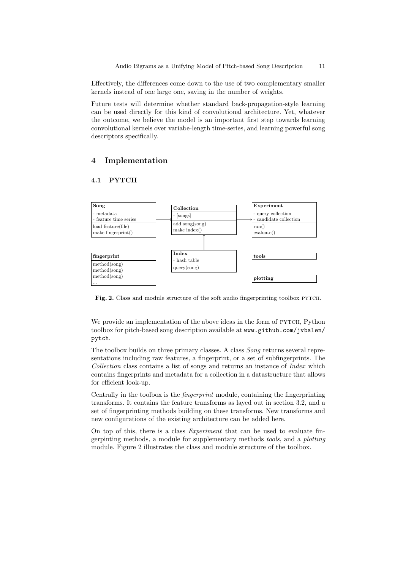Effectively, the differences come down to the use of two complementary smaller kernels instead of one large one, saving in the number of weights.

Future tests will determine whether standard back-propagation-style learning can be used directly for this kind of convolutional architecture. Yet, whatever the outcome, we believe the model is an important first step towards learning convolutional kernels over variabe-length time-series, and learning powerful song descriptors specifically.

## 4 Implementation

#### 4.1 PYTCH



Fig. 2. Class and module structure of the soft audio fingerprinting toolbox PYTCH.

We provide an implementation of the above ideas in the form of PYTCH, Python toolbox for pitch-based song description available at www.github.com/jvbalen/ pytch.

The toolbox builds on three primary classes. A class Song returns several representations including raw features, a fingerprint, or a set of subfingerprints. The Collection class contains a list of songs and returns an instance of Index which contains fingerprints and metadata for a collection in a datastructure that allows for efficient look-up.

Centrally in the toolbox is the fingerprint module, containing the fingerprinting transforms. It contains the feature transforms as layed out in section 3.2, and a set of fingerprinting methods building on these transforms. New transforms and new configurations of the existing architecture can be added here.

On top of this, there is a class Experiment that can be used to evaluate fingerpinting methods, a module for supplementary methods tools, and a plotting module. Figure 2 illustrates the class and module structure of the toolbox.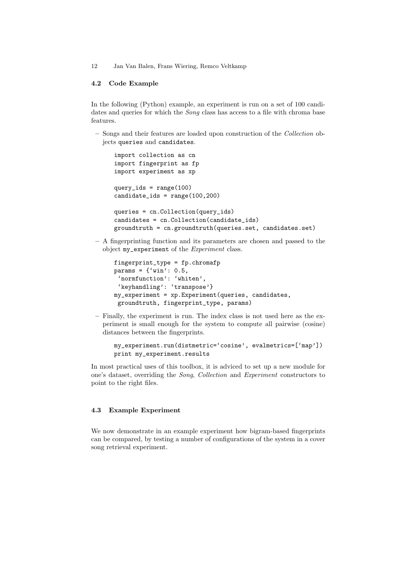#### 4.2 Code Example

In the following (Python) example, an experiment is run on a set of 100 candidates and queries for which the *Song* class has access to a file with chroma base features.

– Songs and their features are loaded upon construction of the Collection objects queries and candidates.

```
import collection as cn
import fingerprint as fp
import experiment as xp
query_ids = range(100)candidate_ids = range(100,200)
queries = cn.Collection(query_ids)
candidates = cn.Collection(candidate_ids)
groundtruth = cn.groundtruth(queries.set, candidates.set)
```
– A fingerprinting function and its parameters are chosen and passed to the object my experiment of the *Experiment* class.

```
fingerprint_type = fp.chromafp
params = \{\text{'win'}: 0.5, \}'normfunction': 'whiten',
 'keyhandling': 'transpose'}
my_experiment = xp.Experiment(queries, candidates,
 groundtruth, fingerprint_type, params)
```
– Finally, the experiment is run. The index class is not used here as the experiment is small enough for the system to compute all pairwise (cosine) distances between the fingerprints.

```
my_experiment.run(distmetric='cosine', evalmetrics=['map'])
print my_experiment.results
```
In most practical uses of this toolbox, it is adviced to set up a new module for one's dataset, overriding the Song, Collection and Experiment constructors to point to the right files.

## 4.3 Example Experiment

We now demonstrate in an example experiment how bigram-based fingerprints can be compared, by testing a number of configurations of the system in a cover song retrieval experiment.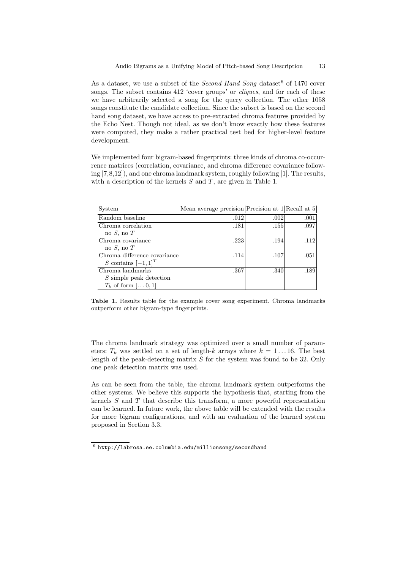As a dataset, we use a subset of the *Second Hand Song* dataset <sup>6</sup> of 1470 cover songs. The subset contains 412 'cover groups' or *cliques*, and for each of these we have arbitrarily selected a song for the query collection. The other 1058 songs constitute the candidate collection. Since the subset is based on the second hand song dataset, we have access to pre-extracted chroma features provided by the Echo Nest. Though not ideal, as we don't know exactly how these features were computed, they make a rather practical test bed for higher-level feature development.

We implemented four bigram-based fingerprints: three kinds of chroma co-occurrence matrices (correlation, covariance, and chroma difference covariance following [7,8,12]), and one chroma landmark system, roughly following [1]. The results, with a description of the kernels  $S$  and  $T$ , are given in Table 1.

| System                       | Mean average precision Precision at $1$ Recall at 5 |      |      |
|------------------------------|-----------------------------------------------------|------|------|
| Random baseline              | .012                                                | .002 | .001 |
| Chroma correlation           | .181                                                | .155 | .097 |
| no $S$ , no $T$              |                                                     |      |      |
| Chroma covariance            | .223                                                | .194 | .112 |
| no $S$ , no $T$              |                                                     |      |      |
| Chroma difference covariance | .114                                                | .107 | .051 |
| S contains $[-1,1]^T$        |                                                     |      |      |
| Chroma landmarks             | .367                                                | .340 | .189 |
| S simple peak detection      |                                                     |      |      |
| $T_k$ of form $[\dots 0, 1]$ |                                                     |      |      |

Table 1. Results table for the example cover song experiment. Chroma landmarks outperform other bigram-type fingerprints.

The chroma landmark strategy was optimized over a small number of parameters:  $T_k$  was settled on a set of length-k arrays where  $k = 1 \dots 16$ . The best length of the peak-detecting matrix  $S$  for the system was found to be 32. Only one peak detection matrix was used.

As can be seen from the table, the chroma landmark system outperforms the other systems. We believe this supports the hypothesis that, starting from the kernels  $S$  and  $T$  that describe this transform, a more powerful representation can be learned. In future work, the above table will be extended with the results for more bigram configurations, and with an evaluation of the learned system proposed in Section 3.3.

 $^6$  http://labrosa.ee.columbia.edu/millionsong/secondhand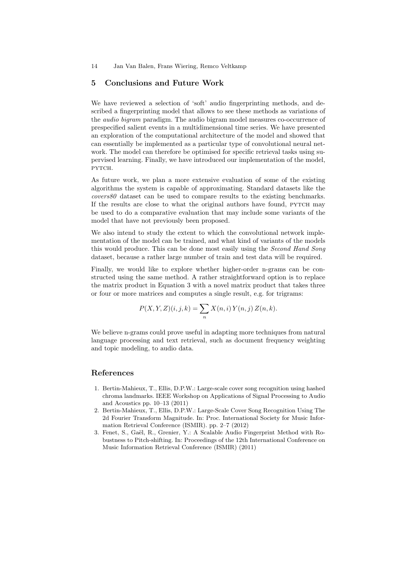## 5 Conclusions and Future Work

We have reviewed a selection of 'soft' audio fingerprinting methods, and described a fingerprinting model that allows to see these methods as variations of the audio bigram paradigm. The audio bigram model measures co-occurrence of prespecified salient events in a multidimensional time series. We have presented an exploration of the computational architecture of the model and showed that can essentially be implemented as a particular type of convolutional neural network. The model can therefore be optimised for specific retrieval tasks using supervised learning. Finally, we have introduced our implementation of the model, pytch.

As future work, we plan a more extensive evaluation of some of the existing algorithms the system is capable of approximating. Standard datasets like the covers80 dataset can be used to compare results to the existing benchmarks. If the results are close to what the original authors have found, pytch may be used to do a comparative evaluation that may include some variants of the model that have not previously been proposed.

We also intend to study the extent to which the convolutional network implementation of the model can be trained, and what kind of variants of the models this would produce. This can be done most easily using the *Second Hand Song* dataset, because a rather large number of train and test data will be required.

Finally, we would like to explore whether higher-order n-grams can be constructed using the same method. A rather straightforward option is to replace the matrix product in Equation 3 with a novel matrix product that takes three or four or more matrices and computes a single result, e.g. for trigrams:

$$
P(X, Y, Z)(i, j, k) = \sum_{n} X(n, i) Y(n, j) Z(n, k).
$$

We believe n-grams could prove useful in adapting more techniques from natural language processing and text retrieval, such as document frequency weighting and topic modeling, to audio data.

### References

- 1. Bertin-Mahieux, T., Ellis, D.P.W.: Large-scale cover song recognition using hashed chroma landmarks. IEEE Workshop on Applications of Signal Processing to Audio and Acoustics pp. 10–13 (2011)
- 2. Bertin-Mahieux, T., Ellis, D.P.W.: Large-Scale Cover Song Recognition Using The 2d Fourier Transform Magnitude. In: Proc. International Society for Music Information Retrieval Conference (ISMIR). pp. 2–7 (2012)
- 3. Fenet, S., Gaël, R., Grenier, Y.: A Scalable Audio Fingerprint Method with Robustness to Pitch-shifting. In: Proceedings of the 12th International Conference on Music Information Retrieval Conference (ISMIR) (2011)